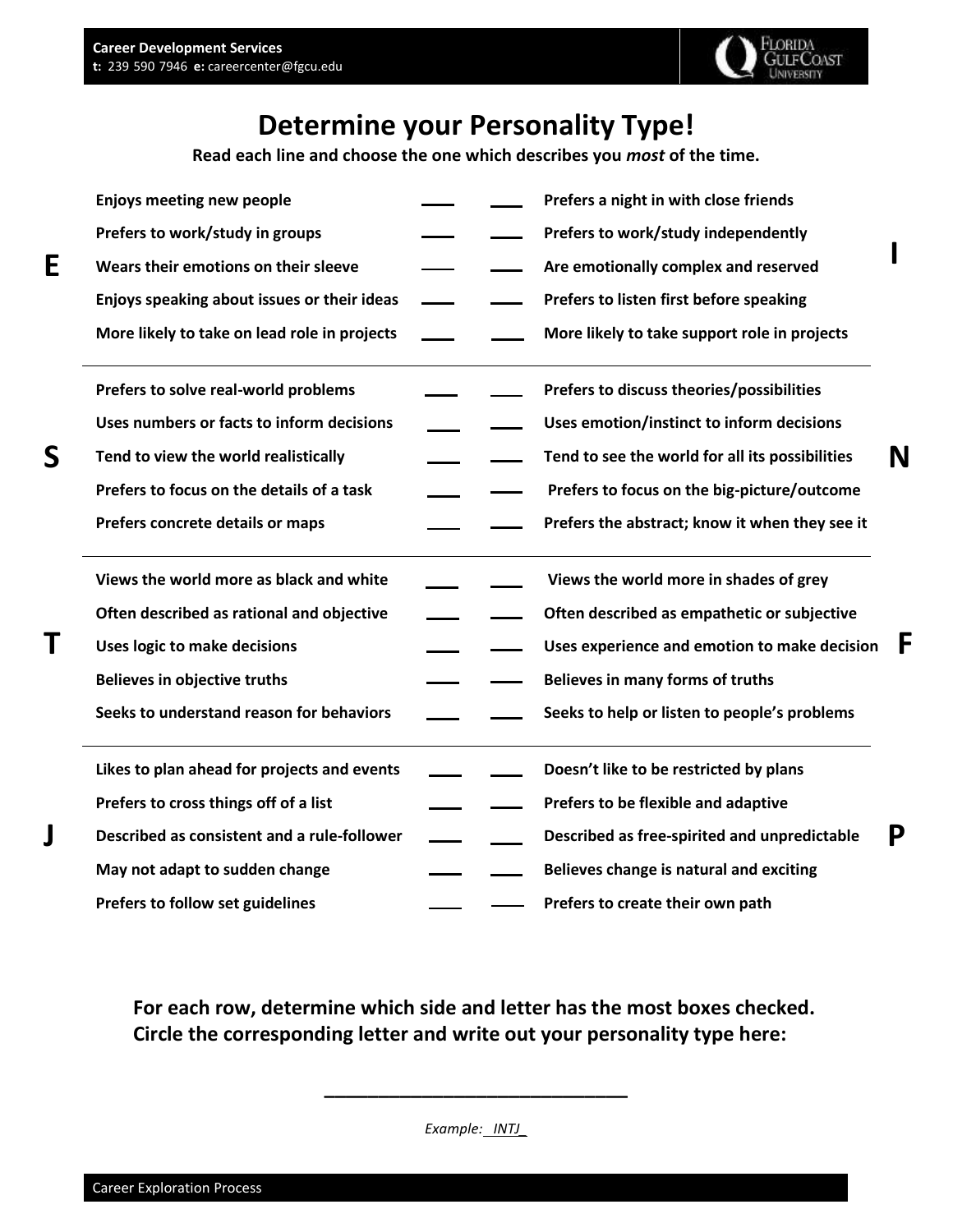**E** 

**S** 

**T** 

**J** 



**I** 

**N** 

**F** 

**P** 

## **Determine your Personality Type!**

 **Read each line and choose the one which describes you** *most* **of the time.** 

| <b>Enjoys meeting new people</b>             |  | Prefers a night in with close friends           |
|----------------------------------------------|--|-------------------------------------------------|
| Prefers to work/study in groups              |  | Prefers to work/study independently             |
| Wears their emotions on their sleeve         |  | Are emotionally complex and reserved            |
| Enjoys speaking about issues or their ideas  |  | Prefers to listen first before speaking         |
| More likely to take on lead role in projects |  | More likely to take support role in projects    |
| Prefers to solve real-world problems         |  | Prefers to discuss theories/possibilities       |
| Uses numbers or facts to inform decisions    |  | Uses emotion/instinct to inform decisions       |
| Tend to view the world realistically         |  | Tend to see the world for all its possibilities |
| Prefers to focus on the details of a task    |  | Prefers to focus on the big-picture/outcome     |
| Prefers concrete details or maps             |  | Prefers the abstract; know it when they see it  |
| Views the world more as black and white      |  | Views the world more in shades of grey          |
| Often described as rational and objective    |  | Often described as empathetic or subjective     |
| <b>Uses logic to make decisions</b>          |  | Uses experience and emotion to make decision    |
| <b>Believes in objective truths</b>          |  | Believes in many forms of truths                |
| Seeks to understand reason for behaviors     |  | Seeks to help or listen to people's problems    |
| Likes to plan ahead for projects and events  |  | Doesn't like to be restricted by plans          |
| Prefers to cross things off of a list        |  | Prefers to be flexible and adaptive             |
| Described as consistent and a rule-follower  |  | Described as free-spirited and unpredictable    |
| May not adapt to sudden change               |  | Believes change is natural and exciting         |
| Prefers to follow set guidelines             |  | Prefers to create their own path                |

 **For each row, determine which side and letter has the most boxes checked. Circle the corresponding letter and write out your personality type here:** 

 *Example: INTJ\_* 

**\_\_\_\_\_\_\_\_\_\_\_\_\_\_\_\_\_\_\_\_\_\_\_\_\_\_\_\_**